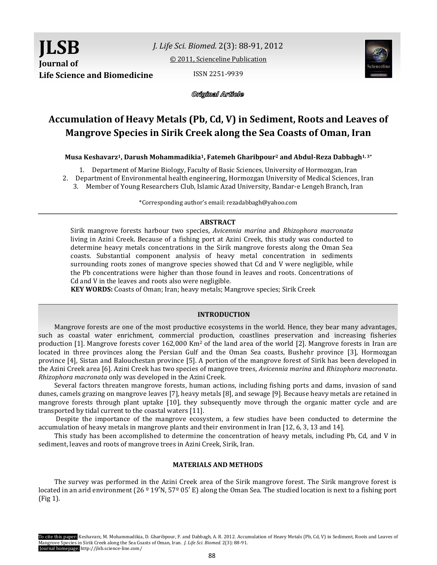

*J. Life Sci. Biomed.* 2(3): 88-91, 2012

[© 2011, Scienceline Publication](http://www.science-line.com/index/)

ISSN 2251-9939



Original Article

# **Accumulation of Heavy Metals (Pb, Cd, V) in Sediment, Roots and Leaves of Mangrove Species in Sirik Creek along the Sea Coasts of Oman, Iran**

**Musa Keshavarz1, Darush Mohammadikia1, Fatemeh Gharibpour<sup>2</sup> and Abdul-Reza Dabbagh1, 3\***

1. Department of Marine Biology, Faculty of Basic Sciences, University of Hormozgan, Iran

2. Department of Environmental health engineering, Hormozgan University of Medical Sciences, Iran

3. Member of Young Researchers Club, Islamic Azad University, Bandar-e Lengeh Branch, Iran

\*Corresponding author's email: rezadabbagh@yahoo.com

## **ABSTRACT**

Sirik mangrove forests harbour two species, *Avicennia marina* and *Rhizophora macronata* living in Azini Creek. Because of a fishing port at Azini Creek, this study was conducted to determine heavy metals concentrations in the Sirik mangrove forests along the Oman Sea coasts. Substantial component analysis of heavy metal concentration in sediments surrounding roots zones of mangrove species showed that Cd and V were negligible, while the Pb concentrations were higher than those found in leaves and roots. Concentrations of Cd and V in the leaves and roots also were negligible.

**KEY WORDS:** Coasts of Oman; Iran; heavy metals; Mangrove species; Sirik Creek

## **INTRODUCTION**

Mangrove forests are one of the most productive ecosystems in the world. Hence, they bear many advantages, such as coastal water enrichment, commercial production, coastlines preservation and increasing fisheries production [1]. Mangrove forests cover 162,000 Km<sup>2</sup> of the land area of the world [2]. Mangrove forests in Iran are located in three provinces along the Persian Gulf and the Oman Sea coasts, Bushehr province [3], Hormozgan province [4], Sistan and Balouchestan province [5]. A portion of the mangrove forest of Sirik has been developed in the Azini Creek area [6]. Azini Creek has two species of mangrove trees, *Avicennia marina* and *Rhizophora macronata*. *Rhizophora macronata* only was developed in the Azini Creek.

Several factors threaten mangrove forests, human actions, including fishing ports and dams, invasion of sand dunes, camels grazing on mangrove leaves [7], heavy metals [8], and sewage [9]. Because heavy metals are retained in mangrove forests through plant uptake [10], they subsequently move through the organic matter cycle and are transported by tidal current to the coastal waters [11].

Despite the importance of the mangrove ecosystem, a few studies have been conducted to determine the accumulation of heavy metals in mangrove plants and their environment in Iran [12, 6, 3, 13 and 14].

This study has been accomplished to determine the concentration of heavy metals, including Pb, Cd, and V in sediment, leaves and roots of mangrove trees in Azini Creek, Sirik, Iran.

## **MATERIALS AND METHODS**

The survey was performed in the Azini Creek area of the Sirik mangrove forest. The Sirik mangrove forest is located in an arid environment (26  $\textdegree$  19'N, 57 $\textdegree$  05' E) along the Oman Sea. The studied location is next to a fishing port (Fig 1).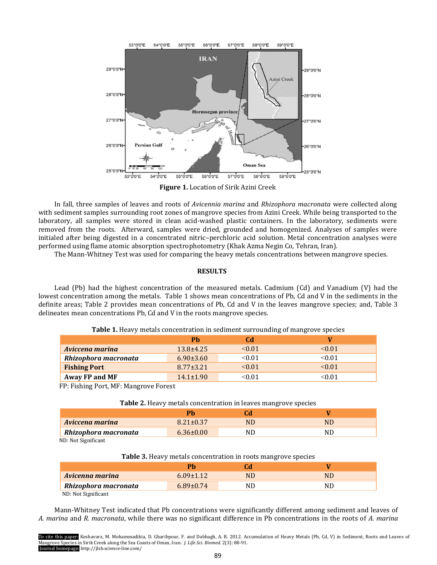

**Figure 1.** Location of Sirik Azini Creek

In fall, three samples of leaves and roots of *Avicennia marina* and *Rhizophora macronata* were collected along with sediment samples surrounding root zones of mangrove species from Azini Creek. While being transported to the laboratory, all samples were stored in clean acid-washed plastic containers. In the laboratory, sediments were removed from the roots. Afterward, samples were dried, grounded and homogenized. Analyses of samples were initialed after being digested in a concentrated nitric–perchloric acid solution. Metal concentration analyses were performed using flame atomic absorption spectrophotometry (Khak Azma Negin Co, Tehran, Iran).

The Mann-Whitney Test was used for comparing the heavy metals concentrations between mangrove species.

## **RESULTS**

Lead (Pb) had the highest concentration of the measured metals. Cadmium (Cd) and Vanadium (V) had the lowest concentration among the metals. Table 1 shows mean concentrations of Pb, Cd and V in the sediments in the definite areas; Table 2 provides mean concentrations of Pb, Cd and V in the leaves mangrove species; and, Table 3 delineates mean concentrations Pb, Cd and V in the roots mangrove species.

|                      | Ph              | Cd          |          |
|----------------------|-----------------|-------------|----------|
| Aviccena marina      | $13.8 + 4.25$   | $\leq 0.01$ | < 0.01   |
| Rhizophora macronata | $6.90 \pm 3.60$ | < 0.01      | < 0.01   |
| <b>Fishing Port</b>  | $8.77 \pm 3.21$ | < 0.01      | < 0.01   |
| Away FP and MF       | $14.1 \pm 1.90$ | <0.01       | $<$ 0.01 |

## **Table 1.** Heavy metals concentration in sediment surrounding of mangrove species

FP: Fishing Port, MF: Mangrove Forest

| Table 2. Heavy metals concentration in leaves mangrove species |  |
|----------------------------------------------------------------|--|
|----------------------------------------------------------------|--|

|                      | Ph.             |     |    |
|----------------------|-----------------|-----|----|
| Aviccena marina      | $8.21 + 0.37$   | ND  | NL |
| Rhizophora macronata | $6.36 \pm 0.00$ | NU) | NL |
|                      |                 |     |    |

ND: Not Significant

|  |  |  | Table 3. Heavy metals concentration in roots mangrove species |  |
|--|--|--|---------------------------------------------------------------|--|
|  |  |  |                                                               |  |

| Avicenna marina      | $6.09 \pm 1.12$ | ND | ND  |
|----------------------|-----------------|----|-----|
| Rhizophora macronata | $6.89 \pm 0.74$ | ND | NIJ |
| $MD. M0 0 1 2 3 4 6$ |                 |    |     |

ND: Not Significant

Mann-Whitney Test indicated that Pb concentrations were significantly different among sediment and leaves of *A. marina* and *R. macronata*, while there was no significant difference in Pb concentrations in the roots of *A. marina* 

To cite this paper: Keshavarz, M. Mohammadikia, D. Gharibpour, F. and Dabbagh, A. R. 2012. Accumulation of Heavy Metals (Pb, Cd, V) in Sediment, Roots and Leaves of Mangrove Species in Sirik Creek along the Sea Coasts of Oman, Iran. *J. Life Sci. Biomed.* 2(3): 88-91. Journal homepage: http://jlsb.science-line.com/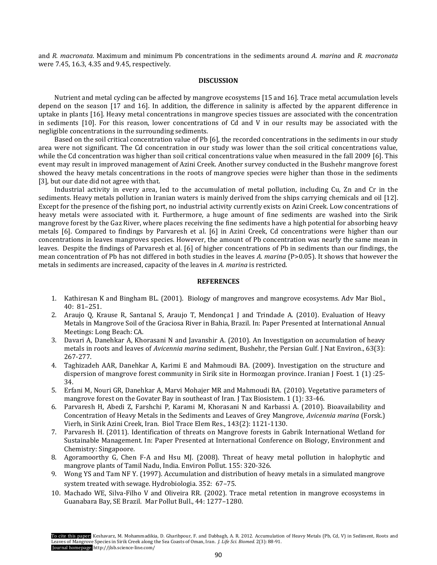and *R. macronata*. Maximum and minimum Pb concentrations in the sediments around *A. marina* and *R. macronata* were 7.45, 16.3, 4.35 and 9.45, respectively.

#### **DISCUSSION**

Nutrient and metal cycling can be affected by mangrove ecosystems [15 and 16]. Trace metal accumulation levels depend on the season [17 and 16]. In addition, the difference in salinity is affected by the apparent difference in uptake in plants [16]. Heavy metal concentrations in mangrove species tissues are associated with the concentration in sediments [10]. For this reason, lower concentrations of Cd and V in our results may be associated with the negligible concentrations in the surrounding sediments.

Based on the soil critical concentration value of Pb [6], the recorded concentrations in the sediments in our study area were not significant. The Cd concentration in our study was lower than the soil critical concentrations value, while the Cd concentration was higher than soil critical concentrations value when measured in the fall 2009 [6]. This event may result in improved management of Azini Creek. Another survey conducted in the Bushehr mangrove forest showed the heavy metals concentrations in the roots of mangrove species were higher than those in the sediments [3], but our date did not agree with that.

Industrial activity in every area, led to the accumulation of metal pollution, including Cu, Zn and Cr in the sediments. Heavy metals pollution in Iranian waters is mainly derived from the ships carrying chemicals and oil [12]. Except for the presence of the fishing port, no industrial activity currently exists on Azini Creek. Low concentrations of heavy metals were associated with it. Furthermore, a huge amount of fine sediments are washed into the Sirik mangrove forest by the Gaz River, where places receiving the fine sediments have a high potential for absorbing heavy metals [6]. Compared to findings by Parvaresh et al. [6] in Azini Creek, Cd concentrations were higher than our concentrations in leaves mangroves species. However, the amount of Pb concentration was nearly the same mean in leaves. Despite the findings of Parvaresh et al. [6] of higher concentrations of Pb in sediments than our findings, the mean concentration of Pb has not differed in both studies in the leaves *A. marina* (P>0.05). It shows that however the metals in sediments are increased, capacity of the leaves in *A. marina* is restricted.

## **REFERENCES**

- 1. Kathiresan K and Bingham BL. (2001). Biology of mangroves and mangrove ecosystems. Adv Mar Biol., 40: 81–251.
- 2. Araujo Q, Krause R, Santanal S, Araujo T, Mendonça1 J and Trindade A. (2010). Evaluation of Heavy Metals in Mangrove Soil of the Graciosa River in Bahia, Brazil. In: Paper Presented at International Annual Meetings: Long Beach: CA.
- 3. Davari A, Danehkar A, Khorasani N and Javanshir A. (2010). An Investigation on accumulation of heavy metals in roots and leaves of *Avicennia marina* sediment, Bushehr, the Persian Gulf. J Nat Environ., 63(3): 267-277.
- 4. Taghizadeh AAR, Danehkar A, Karimi E and Mahmoudi BA. (2009). Investigation on the structure and dispersion of mangrove forest community in Sirik site in Hormozgan province. Iranian J Foest. 1 (1) :25- 34.
- 5. Erfani M, Nouri GR, Danehkar A, Marvi Mohajer MR and Mahmoudi BA. (2010). Vegetative parameters of mangrove forest on the Govater Bay in southeast of Iran. J Tax Biosistem. 1 (1): 33-46.
- 6. Parvaresh H, Abedi Z, Farshchi P, Karami M, Khorasani N and Karbassi A. (2010). Bioavailability and Concentration of Heavy Metals in the Sediments and Leaves of Grey Mangrove, *Avicennia marina* (Forsk.) Vierh, in Sirik Azini Creek, Iran. Biol Trace Elem Res., 143(2): 1121-1130.
- 7. Parvaresh H. (2011). Identification of threats on Mangrove forests in Gabrik International Wetland for Sustainable Management. In: Paper Presented at International Conference on Biology, Environment and Chemistry: Singapoore.
- 8. Agoramoorthy G, Chen F-A and Hsu MJ. (2008). Threat of heavy metal pollution in halophytic and mangrove plants of Tamil Nadu, India. Environ Pollut. 155: 320-326.
- 9. Wong YS and Tam NF Y. (1997). Accumulation and distribution of heavy metals in a simulated mangrove system treated with sewage. Hydrobiologia. 352: 67–75.
- 10. Machado WE, Silva-Filho V and Oliveira RR. (2002). Trace metal retention in mangrove ecosystems in Guanabara Bay, SE Brazil.Mar Pollut Bull., 44: 1277–1280.

To cite this paper: Keshavarz, M. Mohammadikia, D. Gharibpour, F. and Dabbagh, A. R. 2012. Accumulation of Heavy Metals (Pb, Cd, V) in Sediment, Roots and Leaves of Mangrove Species in Sirik Creek along the Sea Coasts of Oman, Iran. *J. Life Sci. Biomed.* 2(3): 88-91. Journal homepage: http://jlsb.science-line.com/